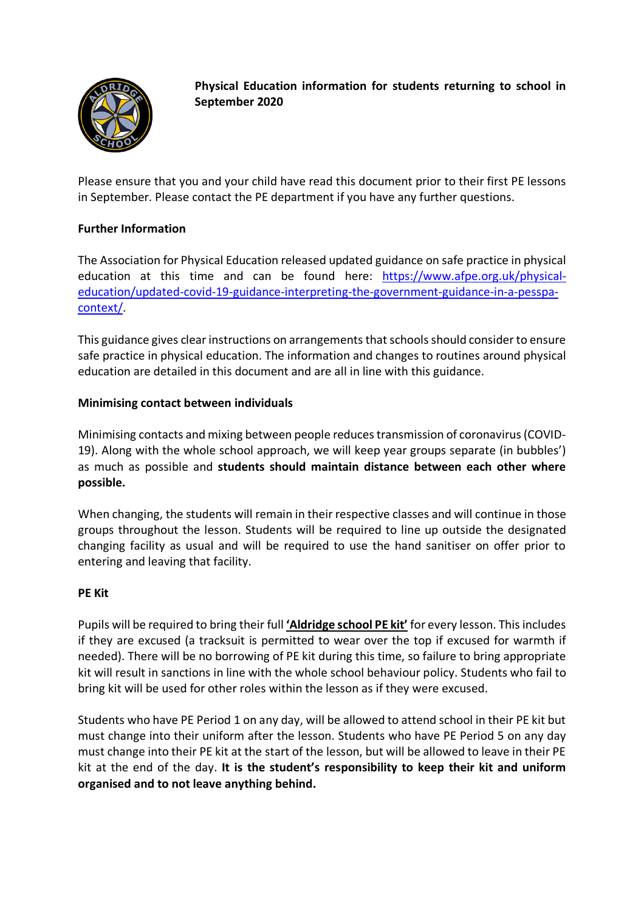

**Physical Education information for students returning to school in September 2020**

Please ensure that you and your child have read this document prior to their first PE lessons in September. Please contact the PE department if you have any further questions.

# **Further Information**

The Association for Physical Education released updated guidance on safe practice in physical education at this time and can be found here: https://www.afpe.org.uk/physicaleducation/updated-covid-19-guidance-interpreting-the-government-guidance-in-a-pesspacontext/.

This guidance gives clear instructions on arrangements that schools should consider to ensure safe practice in physical education. The information and changes to routines around physical education are detailed in this document and are all in line with this guidance.

### **Minimising contact between individuals**

Minimising contacts and mixing between people reduces transmission of coronavirus (COVID-19). Along with the whole school approach, we will keep year groups separate (in bubbles') as much as possible and **students should maintain distance between each other where possible.**

When changing, the students will remain in their respective classes and will continue in those groups throughout the lesson. Students will be required to line up outside the designated changing facility as usual and will be required to use the hand sanitiser on offer prior to entering and leaving that facility.

#### **PE Kit**

Pupils will be required to bring their full **'Aldridge school PE kit'** for every lesson. This includes if they are excused (a tracksuit is permitted to wear over the top if excused for warmth if needed). There will be no borrowing of PE kit during this time, so failure to bring appropriate kit will result in sanctions in line with the whole school behaviour policy. Students who fail to bring kit will be used for other roles within the lesson as if they were excused.

Students who have PE Period 1 on any day, will be allowed to attend school in their PE kit but must change into their uniform after the lesson. Students who have PE Period 5 on any day must change into their PE kit at the start of the lesson, but will be allowed to leave in their PE kit at the end of the day. **It is the student's responsibility to keep their kit and uniform organised and to not leave anything behind.**